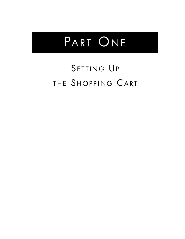# PART ONE

## SETTING UP THE SHOPPING CART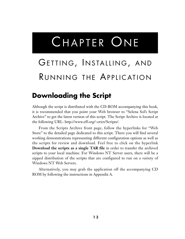# CHAPTER ONE

## GETTING, INSTALLING, AND RUNNING THE APPLICATION

## **Downloading the Script**

Although the script is distributed with the CD-ROM accompanying this book, it is recommended that you point your Web browser to "Selena Sol's Script Archive" to get the latest version of this script. The Script Archive is located at the following URL: http://www.eff.org/~erict/Scripts/.

From the Scripts Archive front page, follow the hyperlinks for "Web Store" to the detailed page dedicated to this script. There you will find several working demonstrations representing different configuration options as well as the scripts for review and download. Feel free to click on the hyperlink **Download the scripts as a single TAR file** in order to transfer the archived scripts to your local machine. For Windows NT Server users, there will be a zipped distribution of the scripts that are configured to run on a variety of Windows NT Web Servers.

Alternatively, you may grab the application off the accompanying CD ROM by following the instructions in Appendix A.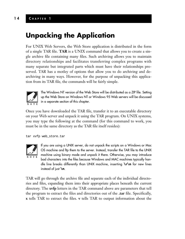## **Unpacking the Application**

For UNIX Web Servers, the Web Store application is distributed in the form of a single TAR file. **TAR** is a UNIX command that allows you to create a single archive file containing many files. Such archiving allows you to maintain directory relationships and facilitates transferring complex programs with many separate but integrated parts which must have their relationships preserved. TAR has a motley of options that allow you to do archiving and dearchiving in many ways. However, for the purpose of unpacking this application from its TAR file, the commands will be fairly simple.



The Windows NT version of the Web Store will be distributed as a ZIP file. Setting up the Web Store on Windows NT or Windows 95 Web servers will be discussed in a separate section of this chapter.

Once you have downloaded the TAR file, transfer it to an executable directory on your Web server and unpack it using the TAR program. On UNIX systems, you may type the following at the command (for this command to work, you must be in the same directory as the TAR file itself resides):

tar xvfp web\_store.tar



If you are using a UNIX server, do not unpack the scripts on a Windows or Mac OS machine and ftp them to the server. Instead, transfer the TAR file to the UNIX machine using binary mode and unpack it there. Otherwise, you may introduce bad characters into the files because Windows and MAC machines typically handle line breaks differently than UNIX machine, inserting **\r\n** for new lines instead of just **\n**.

TAR will go through the archive file and separate each of the individual directories and files, expanding them into their appropriate places beneath the current directory. The **xvfp** letters in the TAR command above are parameters that tell the program to extract the files and directories out of the **.tar** file. Specifically, **x** tells TAR to extract the files. **v** tells TAR to output information about the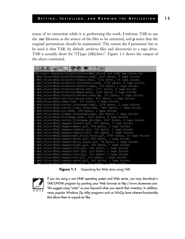status of its extraction while it is performing the work, **f** informs TAR to use the **.tar** filename as the source of the files to be extracted, and **p** notes that the original permissions should be maintained. The reason the **f** parameter has to be used is that TAR, by default, archives files and directories to a tape drive. TAR is actually short for "[T]ape [AR]chive". Figure 1.1 shows the output of the above command.

| ELALE ELLA 1212 ELALE EL                                                |  |
|-------------------------------------------------------------------------|--|
| eff.org:~/.webdocs/Scripts/Source/Web store\$ tar xvfp web store.tar    |  |
| k Web store/Html/Products/Numbers.html, 4257 bytes, 9 tape blocks       |  |
| k Web store/Html/Products/Vowels.html, 7234 bytes, 15 tape blocks       |  |
| x Web store/Btml/Products/Consonants.html, 1709 bytes, 4 tape blocks    |  |
| x Web store/Html/Products/Letters.html, 276 bytes, 1 tape blocks        |  |
| k Web store/Html/Products/Words.html, 1757 bytes, 4 tape blocks         |  |
| x Web store/Html/Products/Memes.html, 2385 bytes, 5 tape blocks         |  |
| k Web store/Html/Products/Letters.html.db, 273 bytes, 1 tape blocks     |  |
| k Web store/Html/Options/option.html, 472 bytes, 1 tape blocks          |  |
| x Web store/Html/home.html, 520 bytes, 2 tape blocks                    |  |
| k Web store/Html/outlet_frontpage.html, 2376 bytes, 5 tape blocks       |  |
| x Web store/Btml/outlet order form.html, 3483 bytes, 7 tape blocks      |  |
| x Web store/Html/toc.html, 885 bytes, 2 tape blocks                     |  |
| k Web store/Html/frames frontpage.html, 402 bytes, 1 tape blocks        |  |
| x Web store/Html/frontpage.html, 1993 bytes, 4 tape blocks              |  |
| k Web store/Html/outlet frontpage db.html, 2617 bytes, 6 tape blocks    |  |
| k Web store/Html/Images/letters.gif, 537 bytes, 2 tape blocks           |  |
| x Web store/Html/Images/memes.gif, 554 bytes, 2 tape blocks             |  |
| x Web store/Html/Images/numbers.gif, 721 bytes, 2 tape blocks           |  |
| k Web store/Html/Images/symbols.gif, 681 bytes, 2 tape blocks           |  |
| x Web store/Html/Images/web store front.gif, 4740 bytes, 10 tape blocks |  |
| x Web store/Html/Images/words.gif, 580 bytes, 2 tape blocks             |  |
| x Web store/Html/Images/white space.gif, 54 bytes, 1 tape blocks        |  |
| k Web store/Html/Images/eight.gif, 308 bytes, 1 tape blocks             |  |
| x Web store/Html/Images/five.gif, 244 bytes, 1 tape blocks              |  |
| k Web store/Html/Images/four.gif, 210 bytes, 1 tape blocks              |  |
| x Web store/Html/Images/nine.gif, 310 bytes, 1 tape blocks              |  |
| x Web store/Html/Images/one.gif, 134 bytes, 1 tape blocks               |  |
| x Web store/Html/Images/seven.gif, 242 bytes, 1 tape blocks             |  |
| v Wah stora/Bhml/Imagas/siv gif - 316 hvtas - 1 tama hlocks             |  |

**Figure 1.1** Unpacking the Web store using TAR.



If you are using a non-UNIX operating system and Web server, you may download a TAR/UNTAR program by pointing your Web browser to http://www.shareware.com. We suggest using "untar" as your keyword when you search their inventory. In addition, many popular Windows Zip utility programs such as WinZip have inherent functionality that allows them to unpack tar files.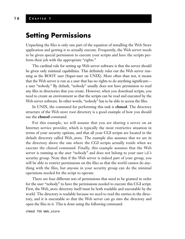#### **1 6 C HAPTER 1**

## **Setting Permissions**

Unpacking the files is only one part of the equation of installing the Web Store application and getting it to actually execute. Frequently, the Web server needs to be given special permission to execute your scripts and have the scripts perform their job with the appropriate "rights."

The cardinal rule for setting up Web server software is that the server should be given only minimal capabilities. This definitely rules out the Web server running as the ROOT user (Super-user on UNIX). More often than not, it means that the Web server is run as a user that has no rights to do anything significant a user "nobody." By default, "nobody" usually does not have permission to read any files in directories that you create. However, when you download scripts, you need to create an environment so that the scripts can be read and executed by the Web server software. In other words, "nobody" has to be able to access the files.

In UNIX, the command for performing this task is **chmod**. The directory structure of the Web store root directory is a good example of how you should use the **chmod** command.

For this example, we will assume that you are sharing a server on an Internet service provider, which is typically the most restrictive situation in terms of your security options, and that all your CGI scripts are located in the default directory called Web\_store. The example also assumes that we are in the directory above the one where the CGI scripts actually reside when we execute the chmod command. Finally, this example assumes that the Web server is running as the user "nobody" and does not belong to your user i.d.'s security group. Note that if the Web server is indeed part of your group, you will be able to restrict permissions on the files so that the world cannot do anything with the files, but anyone in your security group can do the minimal operations needed for the script to operate.

There are four different sets of permissions that need to be granted in order for the user "nobody" to have the permissions needed to execute this CGI script. First, the Web\_store directory itself must be both readable and executable by the world. The directory is readable because we need to read the entries in the directory, and it is executable so that the Web server can go into the directory and open the files in it. This is done using the following command: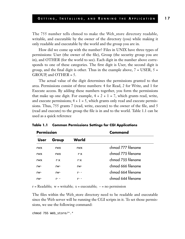The 755 number tells chmod to make the Web\_store directory readable, writable, and executable by the owner of the directory (you) while making it only readable and executable by the world and the group you are in.

How did we come up with the number? Files in UNIX have three types of permissions: User (the owner of the file), Group (the security group you are in), and OTHER (for the world to see). Each digit in the number above corresponds to one of these categories. The first digit is User, the second digit is group, and the final digit is other. Thus in the example above,  $7 = \text{USER}, 5 =$ GROUP, and OTHER = 5.

The actual value of the digit determines the permissions granted to that area. Permissions consist of three numbers: 4 for Read, 2 for Write, and 1 for Execute access. By adding these numbers together, you form the permissions that make up one digit. For example,  $4 + 2 + 1 = 7$ , which grants read, write, and execute permissions;  $4 + 1 = 5$ , which grants only read and execute permissions. Thus, 755 grants 7 (read, write, execute) to the owner of the file, and 5 (read and execute) to the group the file is in and to the world. Table 1.1 can be used as a quick reference

| Permission  |            |            | Command            |
|-------------|------------|------------|--------------------|
| <b>User</b> | Group      | World      |                    |
| rwx         | <b>rwx</b> | <b>rwx</b> | chmod 777 filename |
| rwx         | <b>rwx</b> | r-x        | chmod 775 filename |
| rwx         | r-x        | r-x        | chmod 755 filename |
| rw-         | rw-        | rw-        | chmod 666 filename |
| rw-         | rw-        | $r-$       | chmod 664 filename |
| rw-         | r- -       | $r-$       | chmod 644 filename |

**Table 1.1 Common Permissions Settings for CGI Applications**

 $r = Readable$ ; w = writable; x = executable;  $-$  = no permission

The files within the Web\_store directory need to be readable and executable since the Web server will be running the CGI scripts in it. To set those permissions, we use the following command:

chmod 755 Web\_store/\*.\*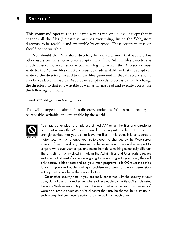This command operates in the same way as the one above, except that it changes all the files (\*.\* pattern matches everything) inside the Web\_store directory to be readable and executable by everyone. These scripts themselves should not be writable!

Nor should the Web\_store directory be writable, since that would allow other users on the system place scripts there. The Admin\_files directory is another issue. However, since it contains log files which the Web server must write to, the Admin\_files directory must be made writable so that the script can write to the directory. In addition, the files generated in that directory should also be readable in case the Web Store script needs to access them. To change the directory so that it is writable as well as having read and execute access, use the following command:

chmod 777 Web\_store/Admin\_files

This will change the Admin\_files directory under the Web\_store directory to be readable, writable, and executable by the world.



You may be tempted to simply use chmod 777 on all the files and directories since that assures the Web server can do anything with the files. However, it is strongly advised that you do not leave the files in this state. It is considered a major security risk to leave your scripts open to changes by the Web server instead of being read-only. Anyone on the server could use another rogue CGI script to write over your scripts and make them do something completely different. There is still a risk involved in making the Admin\_files and User\_carts directory writable, but at least if someone is going to be messing with your area, they will only destroy a bit of data and not your main programs. It is OK to set the scripts to 777 if you are troubleshooting a problem and want to rule out permissions entirely, but do not leave the scripts like this.

On another security note, if you are really concerned with the security of your data, do not use a shared server where other people can write CGI scripts using the same Web server configuration. It is much better to use your own server soft ware or purchase space on a virtual server that may be shared, but is set up in such a way that each user's scripts are shielded from each other.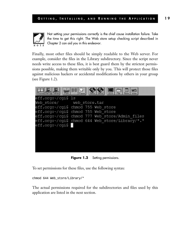

Not setting your permissions correctly is the chief cause installation failure. Take the time to get this right. The Web store setup checking script described in Chapter 2 can aid you in this endeavor.

Finally, most other files should be simply readable to the Web server. For example, consider the files in the Library subdirectory. Since the script never needs write access to these files, it is best guard them by the strictest permissions possible, making them writable only by you. This will protect those files against malicious hackers or accidental modifications by others in your group (see Figure 1.2).



**Figure 1.2** Setting permissions.

To set permissions for these files, use the following syntax:

chmod 644 Web\_store/Library/\*

The actual permissions required for the subdirectories and files used by this application are listed in the next section.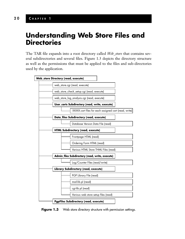## **Understanding Web Store Files and Directories**

The TAR file expands into a root directory called *Web\_store* that contains several subdirectories and several files. Figure 1.3 depicts the directory structure as well as the permissions that must be applied to the files and sub-directories used by the application.



**Figure 1.3** Web store directory structure with permission settings.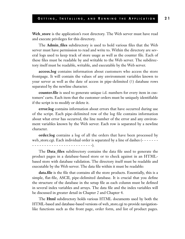**Web\_store** is the application's root directory. The Web server must have read and execute privileges for this directory.

The **Admin\_files** subdirectory is used to hold various files that the Web server must have permission to read and write to. Within the directory are several logs used to keep track of store usage as well as the counter file. Each of these files must be readable by and writable to the Web server. The subdirectory itself must be readable, writable, and executable by the Web server.

**access.log** contains information about customers who access the store frontpage. It will contain the values of any environment variables known to your server as well as the date of access in pipe-delimited (1) database rows separated by the newline character.

**counter.file** is used to generate unique i.d. numbers for every item in customers' carts. Each item that the customer orders must be uniquely identifiable if the script is to modify or delete it.

**error.log** contains information about errors that have occurred during use of the script. Each pipe-delimited row of the log file contains information about what error has occurred, the line number of the error and any environment variables known by the Web server. Each row is separated by a newline character.

**order.log** contains a log of all the orders that have been processed by web\_store.cgi. Each individual order is separated by a line of dashes (- - - - - - - - - - - - - - - - - - - - - - - - - - - - - - - -).

The **Data\_files** subdirectory contains the data file used to generate the product pages in a database-based store or to check against in an HTMLbased store with database validation. The directory itself must be readable and executable by the Web server. The data file within it must be readable:

**data.file** is the file that contains all the store products. Essentially, this is a simple, flat-file, ASCII, pipe-delimited database. It is crucial that you define the structure of the database in the setup file as each column must be defined in several index variables and arrays. The data file and the index variables will be discussed in greater detail in Chapter 2 and Chapter 4.

The **Html** subdirectory holds various HTML documents used by both the HTML-based and database-based versions of web\_store.cgi to provide navigationlike functions such as the front page, order form, and list of product pages.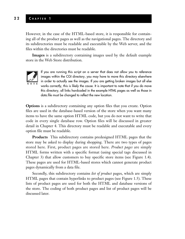#### **2 2 C HAPTER 1**

However, in the case of the HTML-based store, it is responsible for containing all of the product pages as well as the navigational pages. The directory and its subdirectories must be readable and executable by the Web server, and the files within the directories must be readable.

**Images** is a subdirectory containing images used by the default example store in the Web Store distribution.



If you are running this script on a server that does not allow you to reference images within the CGI directory, you may have to move this directory elsewhere in order to actually see the images. If you are getting broken images but all else works correctly, this is likely the cause. It is important to note that if you do move this directory, all links hardcoded in the example HTML pages as well as those in data.file must be changed to reflect the new location.

**Options** is a subdirectory containing any option files that you create. Option files are used in the database-based version of the store when you want many items to have the same option HTML code, but you do not want to write that code in every single database row. Option files will be discussed in greater detail in Chapter 4. This directory must be readable and executable and every option file must be readable.

**Products** This subdirectory contains predesigned HTML pages that the store may be asked to display during shopping. There are two types of pages stored here. First, product pages are stored here. *Product pages* are simply HTML forms written with a specific format (using special tags discussed in Chapter 3) that allow customers to buy specific store items (see Figure 1.4). These pages are used for HTML-based stores which cannot generate product pages dynamically from a data file.

Secondly, this subdirectory contains *list of product* pages, which are simply HTML pages that contain hyperlinks to product pages (see Figure 1.5). These lists of product pages are used for both the HTML and database versions of the store. The coding of both product pages and list of product pages will be discussed later.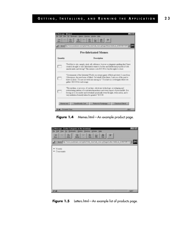

**Figure 1.4** Memes.html—An example product page.



**Figure 1.5** Letters.html-An example list of products page.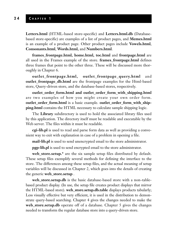**Letters.html** (HTML-based store-specific) and **Letters.html.db** (Databasebased store-specific) are examples of a list of product pages, and **Memes.html** is an example of a product page. Other product pages include **Vowels.html**, **Consonants.html**, **Words.html,** and **Numbers.html**.

**frames\_frontpage.html, home.html, toc.html** and **frontpage.html** are all used in the Frames example of the store. **frames\_frontpage.html** defines three frames that point to the other three. These will be discussed more thoroughly in Chapter 6.

**outlet\_frontpage.html, outlet\_frontpage\_query.html** and **outlet\_frontpage\_db.html** are the frontpage examples for the Html-based store, Query-driven store, and the database-based stores, respectively.

**outlet\_order\_form.html and outlet\_order\_form\_with\_shipping.html** are two examples of how you might create your own order form. **outlet\_order\_form.html** is a basic example. **outlet\_order\_form\_with\_shipping.html** contains the HTML necessary to calculate sample shipping logic.

The **Library** subdirectory is used to hold the associated library files used by this application. The directory itself must be readable and executable by the Web server. The files within it must be readable.

**cgi-lib.pl** is used to read and parse form data as well as providing a convenient way to exit with explanation in case of a problem in opening a file.

**mail-lib.pl** is used to send unencrypted email to the store administrator.

**pgp-lib.pl** is used to send encrypted email to the store administrator.

**web\_store.setup.\*** are the six sample setup files distributed by default. These setup files exemplify several methods for defining the interface to the store. The differences among these setup files, and the actual meaning of setup variables will be discussed in Chapter 2, which goes into the details of creating the generic **web\_store.setup** .

**web\_store.setup.db** is the basic database-based store with a non–tablebased product display. (In use, the setup file creates product displays that mirror the HTML-based store). **web\_store.setup.db.table** displays products tabularly; Less visually effective but very efficient, it is used in the distribution to demonstrate query-based searching. Chapter 4 gives the changes needed to make the **web\_store.setup.db** operate off of a database. Chapter 5 gives the changes needed to transform the regular database store into a query-driven store.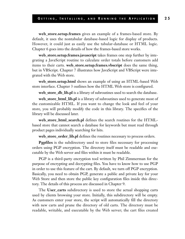**web\_store.setup.frames** gives an example of a frames-based store. By default, it uses the nontabular database-based logic for display of products. However, it could just as easily use the tabular-database or HTML logic. Chapter 6 goes into the details of how the frames-based store works.

**web\_store.setup.frames.javascript** takes frames one step further by integrating a JavaScript routine to calculate order totals before customers add items to their carts. **web\_store.setup.frames.vbscript** does the same thing, but in VBScript. Chapter 7 illustrates how JavaScript and VBScript were integrated with the Web store.

**web\_store.setup.html** shows an example of using an HTML-based Web store interface. Chapter 3 outlines how the HTML Web store is configured.

**web\_store\_db\_lib.pl** is a library of subroutines used to search the database.

**web\_store\_html\_lib.pl** is a library of subroutines used to generate most of the customizable HTML. If you want to change the look and feel of your store, you will probably modify the code in this library. The specifics of the library will be discussed later.

**web\_store\_html\_search.pl** defines the search routines for the HTMLbased store that cannot search a database for keywords but must read through product pages individually searching for hits.

**web\_store\_order\_lib.pl** defines the routines necessary to process orders.

**Pgpfiles** is the subdirectory used to store files necessary for processing orders using PGP encryption. The directory itself must be readable and executable by the Web server and files within it must be readable.

PGP is a third-party encryption tool written by Phil Zimmerman for the purpose of encrypting and decrypting files. You have to know how to use PGP in order to use this feature of the cart. By default, we turn off PGP encryption. Basically, you need to obtain PGP, generate a public and private key for your Web Store and then store the public key configuration files inside this directory. The details of this process are discussed in Chapter 9.

The **User\_carts** subdirectory is used to store the actual shopping carts used by clients browsing your store. Initially, this subdirectory will be empty. As customers enter your store, the script will automatically fill the directory with new carts and prune the directory of old carts. The directory must be readable, writable, and executable by the Web server; the cart files created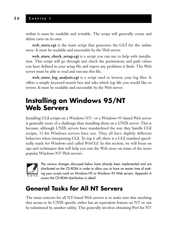within it must be readable and writable. The script will generally create and delete carts on its own.

**web\_store.cgi** is the main script that generates the GUI for the online store. It must be readable and executable by the Web server.

**web\_store\_check\_setup.cgi** is a script you can use to help with installation. This script will go through and check the permissions and path values you have defined in your setup file and report any problems it finds. The Web server must be able to read and execute this file.

**web\_store\_log\_analysis.cgi** is a script used to browse your log files. It offers a simple keyword-search box and asks which log file you would like to review. It must be readable and executable by the Web server.

## **Installing on Windows 95/NT Web Servers**

Installing CGI scripts on a Windows NT– or a Windows 95–based Web server is generally more of a challenge than installing them on a UNIX server. This is because, although UNIX servers have standardized the way they handle CGI scripts, 32-bit Windows servers have not. They all have slightly different behaviors when interpreting CGI. To top it off, there is a CGI standard specifically made for Windows and called *WinCGI.* In this section, we will focus on tips and techniques that will help you run the Web store on some of the more popular Windows NT Web servers.



The various changes discussed below have already been implemented and are distributed on the CD-ROM in order to allow you to have an easier time of making your scripts work on Windows NT or Windows 95 Web servers. Appendix A covers the CD-ROM distribution in detail.

## **General Tasks for All NT Servers**

The main concern for all NT-based Web servers is to make sure that anything that seems to be UNIX specific either has an equivalent feature on NT or can be substituted by another utility. This generally involves obtaining Perl for NT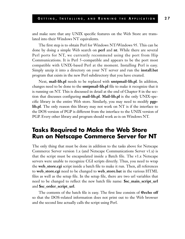and make sure that any UNIX specific features on the Web Store are translated into their Windows NT equivalents.

The first step is to obtain Perl for Windows NT/Windows 95. This can be done by doing a simple Web search on **perl** and **nt**. While there are several Perl ports for NT, we currently recommend using the port from Hip Communications. It is Perl 5–compatible and appears to be the port most compatible with UNIX-based Perl at the moment. Installing Perl is easy. Simply unzip it into a directory on your NT server and run the **install.bat** program that exists in the new Perl subdirectory that you have created.

Next, **mail-lib.pl** needs to be replaced with **smtpmail-lib.pl**. In addition, changes need to be done to the **smtpmail-lib.pl** file to make it recognize that it is running on NT. This is discussed in detail at the end of Chapter 8 in the section that discusses configuring **mail-lib.pl**. **Mail-lib.pl** is the only UNIX-specific library in the entire Web store. Similarly, you may need to modify **pgplib.pl**. The only reason this library may not work on NT is if the interface to the DOS version of PGP is different from the interface to the UNIX version of PGP. Every other library and program should work as-is on Windows NT.

### **Tasks Required to Make the Web Store Run on Netscape Commerce Server for NT**

The only thing that must be done in addition to the tasks above for Netscape Commerce Server version 1.x (and Netscape Communications Server v1.x) is that the script must be encapsulated inside a Batch file. The v1.x Netscape servers were unable to recognize CGI scripts directly. Thus, you need to wrap the **web\_store.cgi** script inside a batch file to make it run. Then, all references to **web\_store.cgi** need to be changed to **web\_store.bat** in the various HTML files as well as the setup file. In the setup file, there are two url variables that need to be changed to reflect the new batch file name: **\$sc\_main\_script\_url** and **\$sc\_order\_script\_url**.

The contents of the batch file is easy. The first line consists of **@echo off** so that the DOS-related information does not print out to the Web browser and the second line actually calls the script using Perl.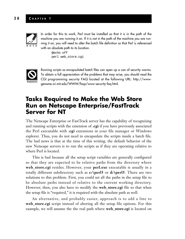#### **2 8 C HAPTER 1**



In order for this to work, Perl must be installed so that it is in the path of the machine you are running it on. If it is not in the path of the machine you are running it on, you will need to alter the batch file definition so that Perl is referenced with an absolute path to its location.

@echo off perl web\_store.cgi



Running scripts as encapsulated batch files can open up a can of security worms. To obtain a full appreciation of the problems that may arise, you should read the CGI programming security FAQ located at the following URL: http://wwwgenome.wi.mit.edu/WWW/faqs/www-security-faq.html.

### **Tasks Required to Make the Web Store Run on Netscape Enterprise/FastTrack Server for NT**

The Netscape Enterprise or FastTrack server has the capability of recognizing and running scripts with the extension of **.cgi** if you have previously associated the Perl executable with **.cgi** extensions in your file manager or Windows explorer. Thus, you do not need to encapsulate the scripts inside a batch file. The bad news is that at the time of this writing, the default behavior of the new Netscape servers is to run the scripts as if they are operating relative to where Perl is located.

This is bad because all the setup script variables are generally configured so that they are expected to be relative paths from the directory where **web\_store.cgi** resides. However, your **perl.exe** executable is usually in a totally different subdirectory such as **c:\perl5** or **d:\perl5**. There are two solutions to this problem. First, you could set all the paths in the setup file to be absolute paths instead of relative to the current working directory. However, then, you also have to modify the **web\_store.cgi** file so that when the setup file is "required," it is required with the absolute path as well.

An alternative, and probably easier, approach is to add a line to **web\_store.cgi** script instead of altering all the setup file options. For this example, we will assume the the real path where **web\_store.cgi** is located on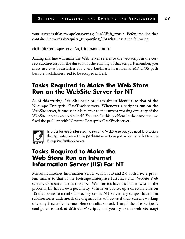your server is **d:\netscape\server\cgi-bin\Web\_store\.** Before the line that contains the words **&require\_supporting\_libraries**, insert the following:

```
chdir(d:\netscape\server\cgi-bin\Web_store);
```
Adding this line will make the Web server reference the web script in the correct subdirectory for the duration of the running of that script. Remember, you must use two backslashes for every backslash in a normal MS-DOS path because backslashes need to be escaped in Perl.

## **Tasks Required to Make the Web Store Run on the WebSite Server for NT**

As of this writing, WebSite has a problem almost identical to that of the Netscape Enterprise/FastTrack servers. Whenever a script is run on the WebSite server, it runs as if it is relative to the current working directory of the WebSite server executable itself. You can fix this problem in the same way we fixed the problem with Netscape Enterprise/FastTrack server.



In order for **web\_store.cgi** to run on a WebSite server, you need to associate the **.cgi** extension with the **perl.exe** executable just as you do with Netscape Enterprise/FastTrack server.

## **Tasks Required to Make the Web Store Run on Internet Information Server (IIS) For NT**

Microsoft Internet Information Server version 1.0 and 2.0 both have a problem similar to that of the Netscape Enterprise/FastTrack and WebSite Web servers. Of course, just as these two Web servers have their own twist on the problem, IIS has its own peculiarity. Whenever you set up a directory alias on IIS that points to a real subdirectory on the NT server, any scripts that run in subdirectories underneath the original alias will act as if their current working directory is actually the root where the alias started. Thus, if the alias Scripts is configured to look at **d:\inetsrv\scripts**, and you try to run **web\_store.cgi**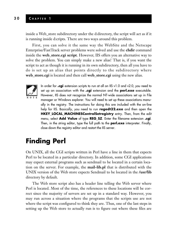inside a Web\_store subdirectory under the d:directory, the script will act as if it is running inside d:cripts. There are two ways around this problem.

First, you can solve it the same way the WebSite and the Netscape Enterprise/FastTrack server problems were solved and use the **chdir** command inside the **web\_store.cgi script**. However, IIS offers you an alternative way to solve the problem. You can simply make a new alias! That is, if you want the script to act as though it is running in its own subdirectory, then all you have to do is set up an alias that points directly to the subdirectory where **web\_store.cgi** is located and then call **web\_store.cgi** using the new alias.



In order for **.cgi** extension scripts to run at all on IIS v1.0 and v2.0, you need to set up an association with the **.cgi** extension and the **perl.exe** executable. However, IIS does not recognize the normal NT-wide associations set up in File manager or Windows explorer. You will need to set up these associations manually in the registry. The instructions for doing this are included with the on-line help for IIS. Basically, you need to run **regedt32.exe** and then open the **HKEY\_LOCAL\_MACHINESControlSetregistry** entry. Then, from the edit menu, select **Add Value** of type **REG\_SZ**. Enter the filename extension **.cgi**. Then, in the string editor, type the full path to the **perl.exe** interpreter. Finally, close down the registry editor and restart the IIS server.

## **Finding Perl**

On UNIX, all the CGI scripts written in Perl have a line in them that expects Perl to be located in a particular directory. In addition, some CGI applications may expect external programs such as sendmail to be located in a certain location on the server. For example, the **mail-lib.pl** that is distributed with the UNIX version of the Web store expects Sendmail to be located in the **/usr/lib** directory by default.

The Web store script also has a header line telling the Web server where Perl is located. Most of the time, the references to these locations will be correct since the majority of servers are set up in a standard way. However, you may run across a situation where the programs that the scripts use are not where the script was configured to think they are. Thus, one of the last steps in setting up the Web store to actually run is to figure out where these files are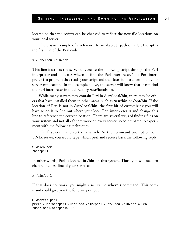located so that the scripts can be changed to reflect the new file locations on your local server.

The classic example of a reference to an absolute path on a CGI script is the first line of the Perl code:

```
#!/usr/local/bin/perl
```
This line instructs the server to execute the following script through the Perl interpreter and indicates where to find the Perl interpreter. The Perl interpreter is a program that reads your script and translates it into a form that your server can execute. In the example above, the server will know that it can find the Perl interpreter in the directory **/usr/local/bin**.

While many servers may contain Perl in **/usr/local/bin**, there may be others that have installed them in other areas, such as **/usr/bin** or **/opt/bin**. If the location of Perl is not in **/usr/local/bin**, the first bit of customizing you will have to do is to find out where your local Perl interpreter is and change this line to reference the correct location. There are several ways of finding files on your system and not all of them work on every server, so be prepared to experiment with the following techniques.

The first command to try is **which**. At the command prompt of your UNIX server, you would type **which perl** and receive back the following reply:

```
$ which perl
/bin/perl
```
In other words, Perl is located in **/bin** on this system. Thus, you will need to change the first line of your script to

```
#!/bin/perl
```
If that does not work, you might also try the **whereis** command. This command could give you the following output:

```
$ whereis perl
perl: /usr/bin/perl /usr/local/bin/perl /usr/local/bin/perl4.036
/usr/local/bin/perl5.002
```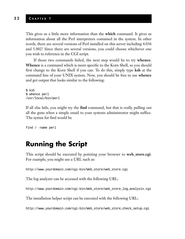#### **3 2 C HAPTER 1**

This gives us a little more information than the **which** command. It gives us information about all the Perl interpreters contained in the system. In other words, there are several versions of Perl installed on this server including 4.036 and 5.002! Since there are several versions, you could choose whichever one you wish to reference in the CGI script.

If those two commands failed, the next step would be to try **whence**. **Whence** is a command which is more specific to the Korn Shell, so you should first change to the Korn Shell if you can. To do this, simply type **ksh** at the command line of your UNIX system. Now, you should be free to use **whence** and get output that looks similar to the following:

```
$ ksh
$ whence perl
/usr/local/bin/perl
```
If all else fails, you might try the **find** command, but that is really pulling out all the guns when a simple email to your systems administrator might suffice. The syntax for find would be

```
find / -name perl
```
## **Running the Script**

This script should be executed by pointing your browser to **web\_store.cgi**. For example, you might use a URL such as:

http://www.yourdomain.com/cgi-bin/Web\_store/web\_store.cgi

The log analyzer can be accessed with the following URL:

http://www.yourdomain.com/cgi-bin/Web\_store/web\_store\_log\_analysis.cgi

The installation helper script can be executed with the following URL:

http://www.yourdomain.com/cgi-bin/Web\_store/web\_store\_check\_setup.cgi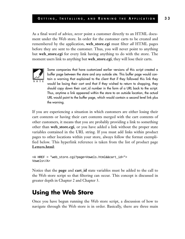As a final word of advice, *never* point a customer directly to an HTML document under the Web store. In order for the customer carts to be created and remembered by the application, **web\_store.cgi** must filter *all* HTML pages before they are sent to the customer. Thus, you will never point to anything but **web\_store.cgi** for every link having anything to do with the store. The moment users link to anything but **web\_store.cgi**, they will lose their carts.



Some companies that have customized earlier versions of this script created a buffer page between the store and any outside site. This buffer page would contain a warning that explained to the client that if they followed this link they would be losing their cart and that if they wished to return to shopping, they should copy down their cart\_id number in the form of a URL back to the script. Thus, anytime a link appeared within the store to an outside location, the actual URL would point to the buffer page, which would contain a second level link plus the warning.

If you are experiencing a situation in which customers are either losing their cart contents or having their cart contents merged with the cart contents of other customers, it means that you are probably providing a link to something other than **web\_store.cgi**, or you have added a link without the proper state variables contained in the URL string. If you must add links within product pages to other locations within your store, always follow the format exemplified below. This hyperlink reference is taken from the list of product page **Letters.html**:

```
<A HREF = "web_store.cgi?page=Vowels.html&&cart_id=">
Vowels</A>
```
Notice that the **page** and **cart\_id** state variables must be added to the call to the Web store script so that filtering can occur. This concept is discussed in greater depth in Chapter 2 and Chapter 3.

## **Using the Web Store**

Once you have begun running the Web store script, a discussion of how to navigate through the Web store is in order. Basically, there are three main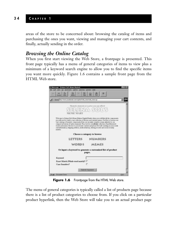areas of the store to be concerned about: browsing the catalog of items and purchasing the ones you want, viewing and managing your cart contents, and finally, actually sending in the order.

#### *Browsing the Online Catalog*

When you first start viewing the Web Store, a frontpage is presented. This front page typically has a menu of general categories of items to view plus a minimum of a keyword search engine to allow you to find the specific items you want more quickly. Figure 1.6 contains a sample front page from the HTML Web store.



**Figure 1.6** Frontpage from the HTML Web store.

The menu of general categories is typically called a list of products page because there is a list of product categories to choose from. If you click on a particular product hyperlink, then the Web Store will take you to an actual product page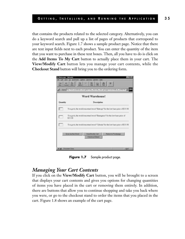that contains the products related to the selected category. Alternatively, you can do a keyword search and pull up a list of pages of products that correspond to your keyword search. Figure 1.7 shows a sample product page. Notice that there are text input fields next to each product. You can enter the quantity of the item that you want to purchase in these text boxes. Then, all you have to do is click on the **Add Items To My Cart** button to actually place them in your cart. The **View/Modify Cart** button lets you manage your cart contents, while the **Checkout Stand** button will bring you to the ordering form.

| Word Warehouse! |                                                                                      |  |  |  |
|-----------------|--------------------------------------------------------------------------------------|--|--|--|
| Quantity        | Description                                                                          |  |  |  |
|                 | You got it, the world reaccused word "Entropy" for the low base price of \$15.92     |  |  |  |
|                 | You got it, the world renowned word "Emergence" for the law have price of<br>\$15.98 |  |  |  |
|                 | You got it, the world reactived word "Cybesis" for the low base price of \$15.93     |  |  |  |

**Figure 1.7** Sample product page.

#### *Managing Your Cart Contents*

If you click on the **View/Modify Cart** button, you will be brought to a screen that displays your cart contents and gives you options for changing quantities of items you have placed in the cart or removing them entirely. In addition, there are buttons that allow you to continue shopping and take you back where you were, or go to the checkout stand to order the items that you placed in the cart. Figure 1.8 shows an example of the cart page.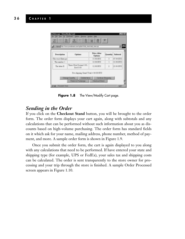

**Figure 1.8** The View/Modify Cart page.

#### *Sending in the Order*

If you click on the **Checkout Stand** button, you will be brought to the order form. The order form displays your cart again, along with subtotals and any calculations that can be performed without such information about you as discounts based on high-volume purchasing. The order form has standard fields on it which ask for your name, mailing address, phone number, method of payment, and more. A sample order form is shown in Figure 1.9.

Once you submit the order form, the cart is again displayed to you along with any calculations that need to be performed. If have entered your state and shipping type (for example, UPS or FedEx), your sales tax and shipping costs can be calculated. The order is sent transparently to the store owner for processing and your trip through the store is finished. A sample Order Processed screen appears in Figure 1.10.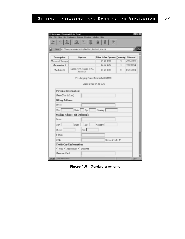| ťΩ<br>Forest<br><b>Monte</b><br><b>Bach</b> | 舘<br>ΗН                                                        | 岡                                     |   |           |
|---------------------------------------------|----------------------------------------------------------------|---------------------------------------|---|-----------|
|                                             | Eata: Mg.//www.yoardomain.com/og/bin/Vildo_state/web_store.og/ |                                       |   | 킈         |
| Description                                 | Options                                                        | Price After Options Quantity Subtotal |   |           |
| The word Entropy                            |                                                                | 15.98 \$TJS                           | 3 | 47 94 SUS |
| The number 1                                |                                                                | 10.98 \$US                            | 1 | 10.98 SUS |
| The letter E                                | Times New Roman 0.00.<br>Red 0.00                              | 12.98 \$US                            | ż | 25.96 SUS |
| Personal Information:<br>Name(First & Last) |                                                                |                                       |   |           |
|                                             |                                                                |                                       |   |           |
| <b>Billing Address:</b>                     |                                                                |                                       |   |           |
| <b>Street:</b>                              |                                                                |                                       |   |           |
| City.                                       | $\sqrt{2g}$ . Country.<br>State:                               |                                       |   |           |
|                                             | Mailing Address (If Different):                                |                                       |   |           |
|                                             |                                                                |                                       |   |           |
| Street:                                     |                                                                |                                       |   |           |
| Cley.                                       | Zip:<br>State:                                                 | Country:                              |   |           |
| Phone:                                      | Face                                                           |                                       |   |           |
| E-Mail                                      |                                                                |                                       |   |           |
| UBL:                                        |                                                                | Request Link: IT                      |   |           |
|                                             | <b>Credit Card Information:</b>                                |                                       |   |           |

Figure 1.9 Standard order form.